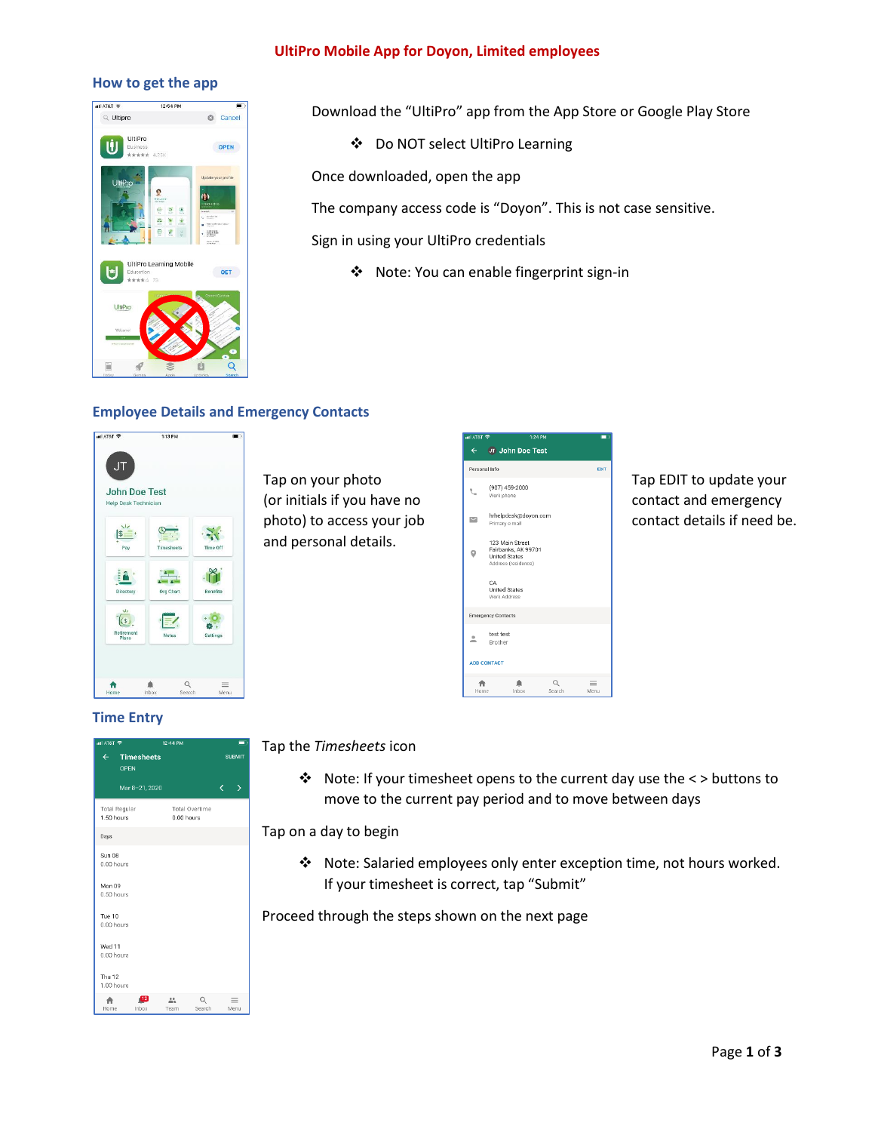#### **UltiPro Mobile App for Doyon, Limited employees**

#### **How to get the app**



Download the "UltiPro" app from the App Store or Google Play Store

Do NOT select UltiPro Learning

Once downloaded, open the app

The company access code is "Doyon". This is not case sensitive.

Sign in using your UltiPro credentials

Note: You can enable fingerprint sign-in

## **Employee Details and Emergency Contacts**



Tap on your photo (or initials if you have no photo) to access your job and personal details.

| adj AT&T 全    | 1:24 PM                                                                               | t  |
|---------------|---------------------------------------------------------------------------------------|----|
| $\leftarrow$  | <b>JT John Doe Test</b>                                                               |    |
| Personal Info |                                                                                       | ED |
|               | (907) 459-2000<br>Work phone                                                          |    |
| $\sim$        | hrhelpdesk@doyon.com<br>Primary e-mail                                                |    |
|               | 123 Main Street<br>Fairbanks, AK 99701<br><b>United States</b><br>Address (residence) |    |
|               | CA<br><b>United States</b><br>Work Address                                            |    |
|               | <b>Emergency Contacts</b>                                                             |    |
| ٠<br>÷.       | test test<br><b>Brother</b>                                                           |    |
|               | <b>ADD CONTACT</b>                                                                    |    |
|               | Q                                                                                     |    |

Tap EDIT to update your contact and emergency contact details if need be.

### **Time Entry**

| all AT&T 중<br>$\leftarrow$ Timesheets<br>OPEN |                                     | m<br><b>SUBMIT</b> |                  |  |
|-----------------------------------------------|-------------------------------------|--------------------|------------------|--|
| Mar 8-21, 2020                                |                                     | k                  | Σ                |  |
| <b>Total Regular</b><br>1.50 hours            | <b>Total Overtime</b><br>0.00 hours |                    |                  |  |
| Days                                          |                                     |                    |                  |  |
| Sun 08<br>0.00 hours                          |                                     |                    |                  |  |
| Mon 09<br>0.50 hours                          |                                     |                    |                  |  |
| Tue 10<br>$0.00$ hours                        |                                     |                    |                  |  |
| Wed 11<br>0.00 hours                          |                                     |                    |                  |  |
| <b>Thu 12</b><br>1.00 hours                   |                                     |                    |                  |  |
| $^{12}$<br>Home<br>Inhox                      | Search<br>Team                      |                    | $\equiv$<br>Menu |  |

#### Tap the *Timesheets* icon

 Note: If your timesheet opens to the current day use the < > buttons to move to the current pay period and to move between days

Tap on a day to begin

 Note: Salaried employees only enter exception time, not hours worked. If your timesheet is correct, tap "Submit"

Proceed through the steps shown on the next page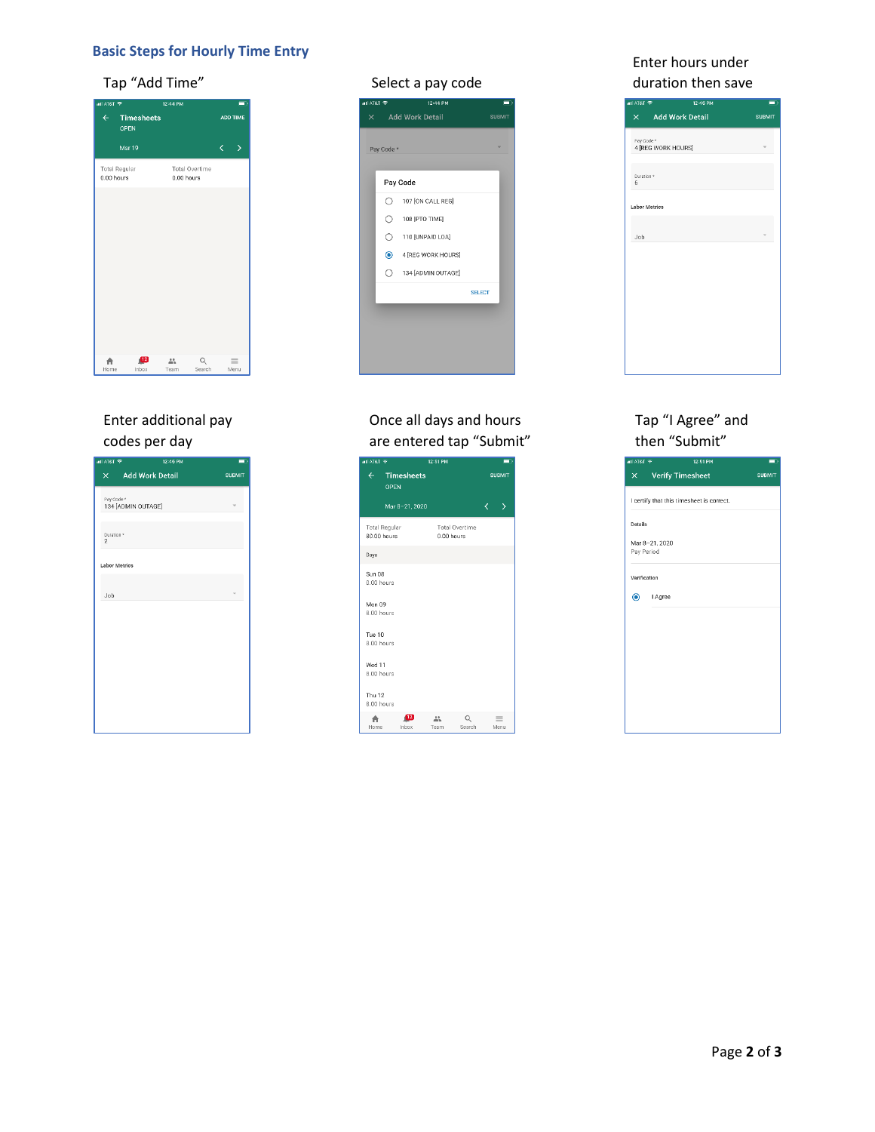## **Basic Steps for Hourly Time Entry**

# Tap "Add Time" Select a pay code

| all AT&T 중   |                           | 12:44 PM   |                       |                 | $\blacksquare$   |  |
|--------------|---------------------------|------------|-----------------------|-----------------|------------------|--|
| $\leftarrow$ | <b>Timesheets</b><br>OPEN |            |                       | <b>ADD TIME</b> |                  |  |
|              | Mar 19                    |            |                       | k               | $\mathbf{L}$     |  |
| 0.00 hours   | <b>Total Regular</b>      | 0.00 hours | <b>Total Overtime</b> |                 |                  |  |
|              |                           |            |                       |                 |                  |  |
|              |                           |            |                       |                 |                  |  |
|              |                           |            |                       |                 |                  |  |
|              |                           |            |                       |                 |                  |  |
|              |                           |            |                       |                 |                  |  |
|              |                           |            |                       |                 |                  |  |
|              |                           |            |                       |                 |                  |  |
| Home         | $\sqrt{12}$<br>Inbox      | 00<br>Team | $\alpha$<br>Search    |                 | $\equiv$<br>Menu |  |

# Enter additional pay codes per day

| all AT&T 중                              | 12:45 PM          | $\blacksquare$ |
|-----------------------------------------|-------------------|----------------|
|                                         | X Add Work Detail | <b>SUBMIT</b>  |
| Pay Code *<br>134 [ADMIN OUTAGE]        |                   |                |
| Duration <sup>®</sup><br>$\overline{2}$ |                   |                |
| <b>Labor Metrics</b>                    |                   |                |
| Job                                     |                   |                |
|                                         |                   |                |
|                                         |                   |                |
|                                         |                   |                |
|                                         |                   |                |
|                                         |                   |                |
|                                         |                   |                |



# Once all days and hours are entered tap "Submit"



## Enter hours under duration then save

| all AT&T 중                 | 12:45 PM           | $\Box$        |
|----------------------------|--------------------|---------------|
|                            | X Add Work Detail  | <b>SUBMIT</b> |
| Pay Code *                 | 4 [REG WORK HOURS] |               |
| Duration <sup>®</sup><br>6 |                    |               |
| <b>Labor Metrics</b>       |                    |               |
| Job                        |                    |               |
|                            |                    |               |
|                            |                    |               |
|                            |                    |               |
|                            |                    |               |
|                            |                    |               |

## Tap "I Agree" and then "Submit"

|              | $\times$ Verify Timesheet                 | <b>SUBMIT</b> |
|--------------|-------------------------------------------|---------------|
|              | I certify that this timesheet is correct. |               |
| Details      |                                           |               |
|              | Mar 8-21, 2020                            |               |
|              | Pay Period                                |               |
| Verification |                                           |               |
|              | Agree                                     |               |
|              |                                           |               |
|              |                                           |               |
|              |                                           |               |
|              |                                           |               |
|              |                                           |               |
|              |                                           |               |
|              |                                           |               |
|              |                                           |               |
|              |                                           |               |